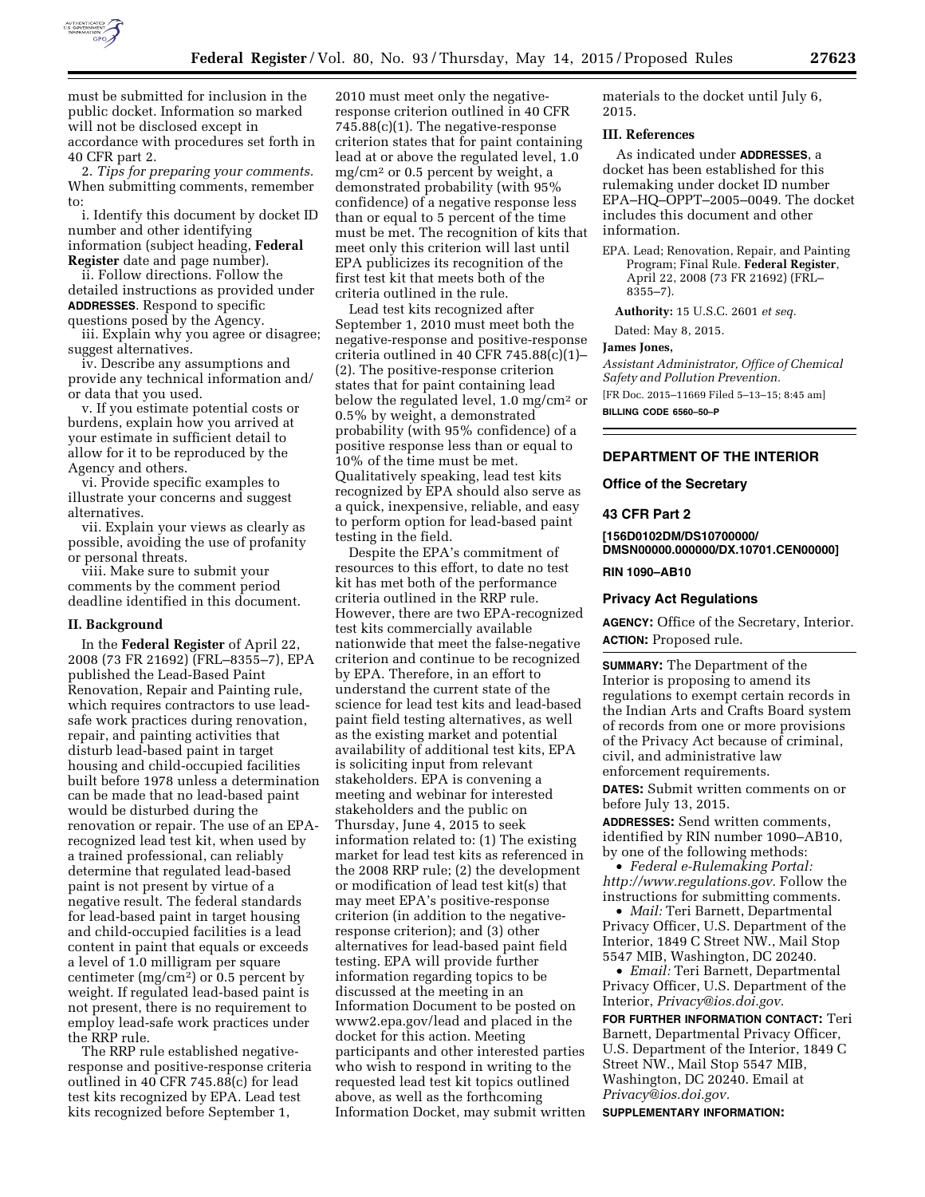

must be submitted for inclusion in the public docket. Information so marked will not be disclosed except in accordance with procedures set forth in 40 CFR part 2.

2. *Tips for preparing your comments.*  When submitting comments, remember to:

i. Identify this document by docket ID number and other identifying information (subject heading, **Federal Register** date and page number).

ii. Follow directions. Follow the detailed instructions as provided under **ADDRESSES**. Respond to specific questions posed by the Agency.

iii. Explain why you agree or disagree; suggest alternatives.

iv. Describe any assumptions and provide any technical information and/ or data that you used.

v. If you estimate potential costs or burdens, explain how you arrived at your estimate in sufficient detail to allow for it to be reproduced by the Agency and others.

vi. Provide specific examples to illustrate your concerns and suggest alternatives.

vii. Explain your views as clearly as possible, avoiding the use of profanity or personal threats.

viii. Make sure to submit your comments by the comment period deadline identified in this document.

#### **II. Background**

In the **Federal Register** of April 22, 2008 (73 FR 21692) (FRL–8355–7), EPA published the Lead-Based Paint Renovation, Repair and Painting rule, which requires contractors to use leadsafe work practices during renovation, repair, and painting activities that disturb lead-based paint in target housing and child-occupied facilities built before 1978 unless a determination can be made that no lead-based paint would be disturbed during the renovation or repair. The use of an EPArecognized lead test kit, when used by a trained professional, can reliably determine that regulated lead-based paint is not present by virtue of a negative result. The federal standards for lead-based paint in target housing and child-occupied facilities is a lead content in paint that equals or exceeds a level of 1.0 milligram per square centimeter  $(mg/cm<sup>2</sup>)$  or 0.5 percent by weight. If regulated lead-based paint is not present, there is no requirement to employ lead-safe work practices under the RRP rule.

The RRP rule established negativeresponse and positive-response criteria outlined in 40 CFR 745.88(c) for lead test kits recognized by EPA. Lead test kits recognized before September 1,

2010 must meet only the negativeresponse criterion outlined in 40 CFR 745.88(c)(1). The negative-response criterion states that for paint containing lead at or above the regulated level, 1.0 mg/cm2 or 0.5 percent by weight, a demonstrated probability (with 95% confidence) of a negative response less than or equal to 5 percent of the time must be met. The recognition of kits that meet only this criterion will last until EPA publicizes its recognition of the first test kit that meets both of the criteria outlined in the rule.

Lead test kits recognized after September 1, 2010 must meet both the negative-response and positive-response criteria outlined in 40 CFR 745.88(c)(1)– (2). The positive-response criterion states that for paint containing lead below the regulated level, 1.0 mg/cm2 or 0.5% by weight, a demonstrated probability (with 95% confidence) of a positive response less than or equal to 10% of the time must be met. Qualitatively speaking, lead test kits recognized by EPA should also serve as a quick, inexpensive, reliable, and easy to perform option for lead-based paint testing in the field.

Despite the EPA's commitment of resources to this effort, to date no test kit has met both of the performance criteria outlined in the RRP rule. However, there are two EPA-recognized test kits commercially available nationwide that meet the false-negative criterion and continue to be recognized by EPA. Therefore, in an effort to understand the current state of the science for lead test kits and lead-based paint field testing alternatives, as well as the existing market and potential availability of additional test kits, EPA is soliciting input from relevant stakeholders. EPA is convening a meeting and webinar for interested stakeholders and the public on Thursday, June 4, 2015 to seek information related to: (1) The existing market for lead test kits as referenced in the 2008 RRP rule; (2) the development or modification of lead test kit(s) that may meet EPA's positive-response criterion (in addition to the negativeresponse criterion); and (3) other alternatives for lead-based paint field testing. EPA will provide further information regarding topics to be discussed at the meeting in an Information Document to be posted on [www2.epa.gov/lead](http://www2.epa.gov/lead) and placed in the docket for this action. Meeting participants and other interested parties who wish to respond in writing to the requested lead test kit topics outlined above, as well as the forthcoming Information Docket, may submit written materials to the docket until July 6, 2015.

### **III. References**

As indicated under **ADDRESSES**, a docket has been established for this rulemaking under docket ID number EPA–HQ–OPPT–2005–0049. The docket includes this document and other information.

EPA. Lead; Renovation, Repair, and Painting Program; Final Rule. **Federal Register**, April 22, 2008 (73 FR 21692) (FRL– 8355–7).

**Authority:** 15 U.S.C. 2601 *et seq.* 

Dated: May 8, 2015.

## **James Jones,**

*Assistant Administrator, Office of Chemical Safety and Pollution Prevention.* 

[FR Doc. 2015–11669 Filed 5–13–15; 8:45 am]

**BILLING CODE 6560–50–P** 

# **DEPARTMENT OF THE INTERIOR**

#### **Office of the Secretary**

### **43 CFR Part 2**

**[156D0102DM/DS10700000/ DMSN00000.000000/DX.10701.CEN00000] RIN 1090–AB10** 

#### **Privacy Act Regulations**

**AGENCY:** Office of the Secretary, Interior. **ACTION:** Proposed rule.

**SUMMARY:** The Department of the Interior is proposing to amend its regulations to exempt certain records in the Indian Arts and Crafts Board system of records from one or more provisions of the Privacy Act because of criminal, civil, and administrative law enforcement requirements.

**DATES:** Submit written comments on or before July 13, 2015.

**ADDRESSES:** Send written comments, identified by RIN number 1090–AB10, by one of the following methods:

• *Federal e-Rulemaking Portal: [http://www.regulations.gov.](http://www.regulations.gov)* Follow the instructions for submitting comments.

• *Mail:* Teri Barnett, Departmental Privacy Officer, U.S. Department of the Interior, 1849 C Street NW., Mail Stop 5547 MIB, Washington, DC 20240.

• *Email:* Teri Barnett, Departmental Privacy Officer, U.S. Department of the Interior, *[Privacy@ios.doi.gov.](mailto:Privacy@ios.doi.gov)* 

**FOR FURTHER INFORMATION CONTACT:** Teri Barnett, Departmental Privacy Officer, U.S. Department of the Interior, 1849 C Street NW., Mail Stop 5547 MIB, Washington, DC 20240. Email at *[Privacy@ios.doi.gov.](mailto:Privacy@ios.doi.gov)*  **SUPPLEMENTARY INFORMATION:**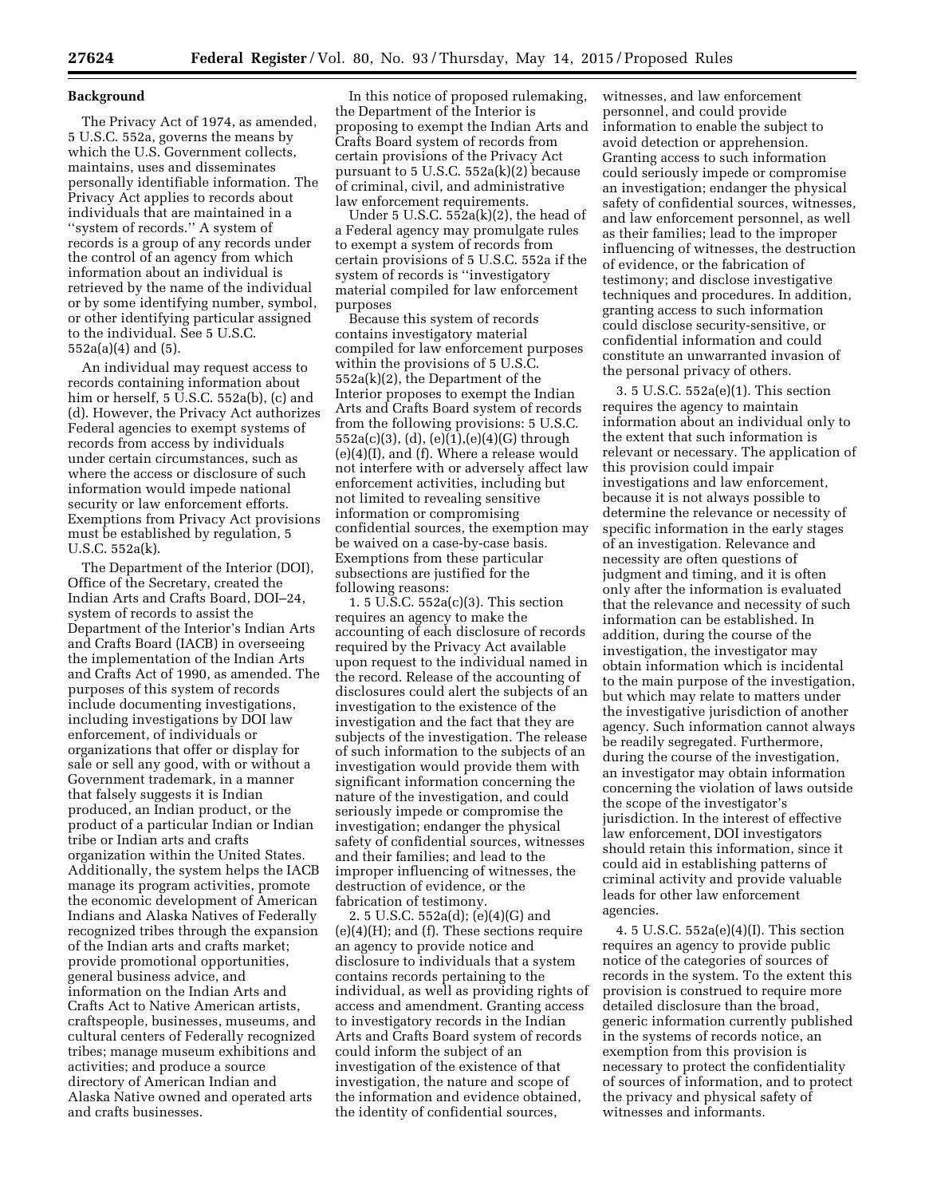### **Background**

The Privacy Act of 1974, as amended, 5 U.S.C. 552a, governs the means by which the U.S. Government collects, maintains, uses and disseminates personally identifiable information. The Privacy Act applies to records about individuals that are maintained in a ''system of records.'' A system of records is a group of any records under the control of an agency from which information about an individual is retrieved by the name of the individual or by some identifying number, symbol, or other identifying particular assigned to the individual. See 5 U.S.C. 552a(a)(4) and (5).

An individual may request access to records containing information about him or herself, 5 U.S.C. 552a(b), (c) and (d). However, the Privacy Act authorizes Federal agencies to exempt systems of records from access by individuals under certain circumstances, such as where the access or disclosure of such information would impede national security or law enforcement efforts. Exemptions from Privacy Act provisions must be established by regulation, 5 U.S.C. 552a(k).

The Department of the Interior (DOI), Office of the Secretary, created the Indian Arts and Crafts Board, DOI–24, system of records to assist the Department of the Interior's Indian Arts and Crafts Board (IACB) in overseeing the implementation of the Indian Arts and Crafts Act of 1990, as amended. The purposes of this system of records include documenting investigations, including investigations by DOI law enforcement, of individuals or organizations that offer or display for sale or sell any good, with or without a Government trademark, in a manner that falsely suggests it is Indian produced, an Indian product, or the product of a particular Indian or Indian tribe or Indian arts and crafts organization within the United States. Additionally, the system helps the IACB manage its program activities, promote the economic development of American Indians and Alaska Natives of Federally recognized tribes through the expansion of the Indian arts and crafts market; provide promotional opportunities, general business advice, and information on the Indian Arts and Crafts Act to Native American artists, craftspeople, businesses, museums, and cultural centers of Federally recognized tribes; manage museum exhibitions and activities; and produce a source directory of American Indian and Alaska Native owned and operated arts and crafts businesses.

In this notice of proposed rulemaking, the Department of the Interior is proposing to exempt the Indian Arts and Crafts Board system of records from certain provisions of the Privacy Act pursuant to 5 U.S.C. 552a(k)(2) because of criminal, civil, and administrative law enforcement requirements.

Under 5 U.S.C. 552a(k)(2), the head of a Federal agency may promulgate rules to exempt a system of records from certain provisions of 5 U.S.C. 552a if the system of records is ''investigatory material compiled for law enforcement purposes

Because this system of records contains investigatory material compiled for law enforcement purposes within the provisions of 5 U.S.C. 552a(k)(2), the Department of the Interior proposes to exempt the Indian Arts and Crafts Board system of records from the following provisions: 5 U.S.C.  $552a(c)(3)$ , (d), (e) $(1)$ , (e) $(4)(G)$  through (e)(4)(I), and (f). Where a release would not interfere with or adversely affect law enforcement activities, including but not limited to revealing sensitive information or compromising confidential sources, the exemption may be waived on a case-by-case basis. Exemptions from these particular subsections are justified for the following reasons:

1. 5 U.S.C. 552a(c)(3). This section requires an agency to make the accounting of each disclosure of records required by the Privacy Act available upon request to the individual named in the record. Release of the accounting of disclosures could alert the subjects of an investigation to the existence of the investigation and the fact that they are subjects of the investigation. The release of such information to the subjects of an investigation would provide them with significant information concerning the nature of the investigation, and could seriously impede or compromise the investigation; endanger the physical safety of confidential sources, witnesses and their families; and lead to the improper influencing of witnesses, the destruction of evidence, or the fabrication of testimony.

2. 5 U.S.C. 552a(d); (e)(4)(G) and (e)(4)(H); and (f). These sections require an agency to provide notice and disclosure to individuals that a system contains records pertaining to the individual, as well as providing rights of access and amendment. Granting access to investigatory records in the Indian Arts and Crafts Board system of records could inform the subject of an investigation of the existence of that investigation, the nature and scope of the information and evidence obtained, the identity of confidential sources,

witnesses, and law enforcement personnel, and could provide information to enable the subject to avoid detection or apprehension. Granting access to such information could seriously impede or compromise an investigation; endanger the physical safety of confidential sources, witnesses, and law enforcement personnel, as well as their families; lead to the improper influencing of witnesses, the destruction of evidence, or the fabrication of testimony; and disclose investigative techniques and procedures. In addition, granting access to such information could disclose security-sensitive, or confidential information and could constitute an unwarranted invasion of the personal privacy of others.

3. 5 U.S.C. 552a(e)(1). This section requires the agency to maintain information about an individual only to the extent that such information is relevant or necessary. The application of this provision could impair investigations and law enforcement, because it is not always possible to determine the relevance or necessity of specific information in the early stages of an investigation. Relevance and necessity are often questions of judgment and timing, and it is often only after the information is evaluated that the relevance and necessity of such information can be established. In addition, during the course of the investigation, the investigator may obtain information which is incidental to the main purpose of the investigation, but which may relate to matters under the investigative jurisdiction of another agency. Such information cannot always be readily segregated. Furthermore, during the course of the investigation, an investigator may obtain information concerning the violation of laws outside the scope of the investigator's jurisdiction. In the interest of effective law enforcement, DOI investigators should retain this information, since it could aid in establishing patterns of criminal activity and provide valuable leads for other law enforcement agencies.

4. 5 U.S.C. 552a(e)(4)(I). This section requires an agency to provide public notice of the categories of sources of records in the system. To the extent this provision is construed to require more detailed disclosure than the broad, generic information currently published in the systems of records notice, an exemption from this provision is necessary to protect the confidentiality of sources of information, and to protect the privacy and physical safety of witnesses and informants.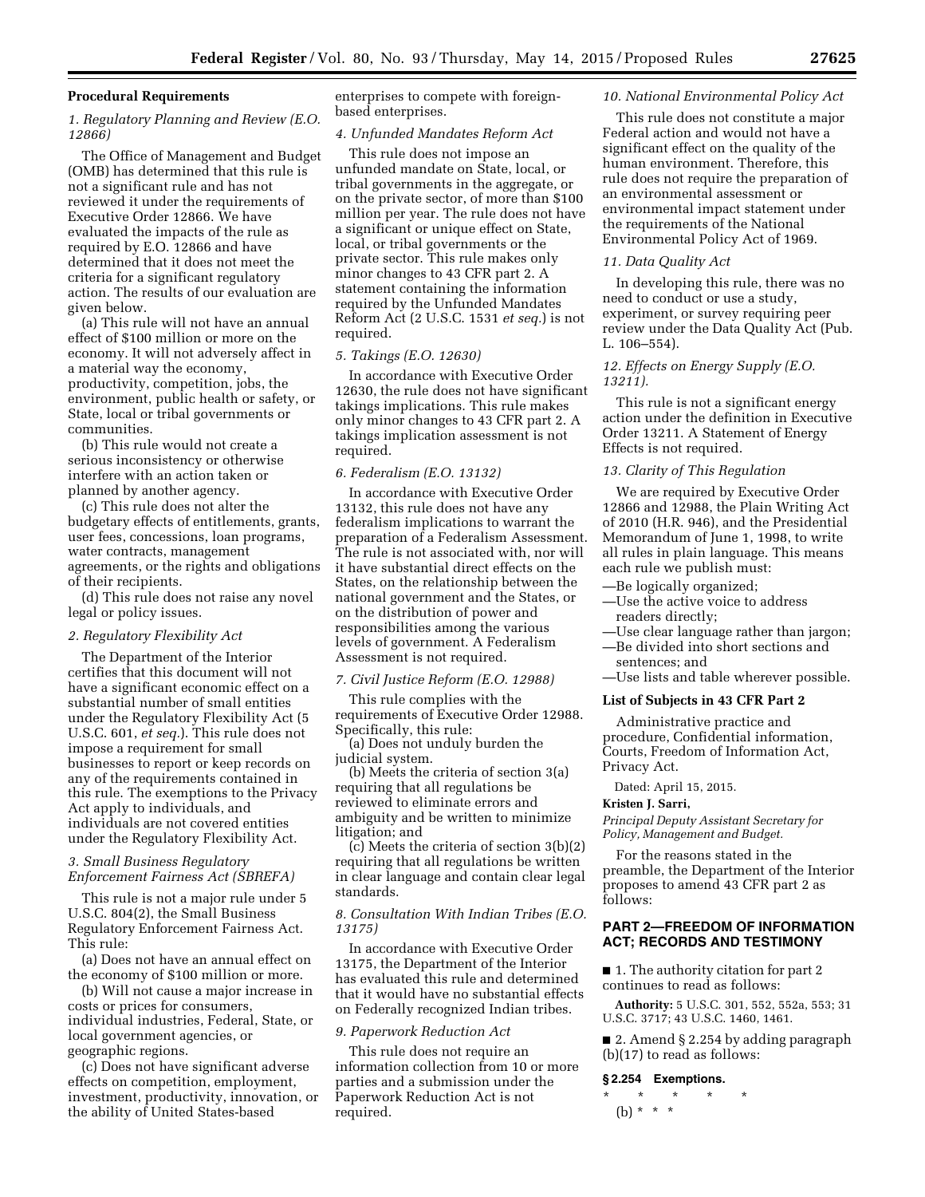### **Procedural Requirements**

## *1. Regulatory Planning and Review (E.O. 12866)*

The Office of Management and Budget (OMB) has determined that this rule is not a significant rule and has not reviewed it under the requirements of Executive Order 12866. We have evaluated the impacts of the rule as required by E.O. 12866 and have determined that it does not meet the criteria for a significant regulatory action. The results of our evaluation are given below.

(a) This rule will not have an annual effect of \$100 million or more on the economy. It will not adversely affect in a material way the economy, productivity, competition, jobs, the environment, public health or safety, or State, local or tribal governments or communities.

(b) This rule would not create a serious inconsistency or otherwise interfere with an action taken or planned by another agency.

(c) This rule does not alter the budgetary effects of entitlements, grants, user fees, concessions, loan programs, water contracts, management agreements, or the rights and obligations of their recipients.

(d) This rule does not raise any novel legal or policy issues.

#### *2. Regulatory Flexibility Act*

The Department of the Interior certifies that this document will not have a significant economic effect on a substantial number of small entities under the Regulatory Flexibility Act (5 U.S.C. 601, *et seq.*). This rule does not impose a requirement for small businesses to report or keep records on any of the requirements contained in this rule. The exemptions to the Privacy Act apply to individuals, and individuals are not covered entities under the Regulatory Flexibility Act.

## *3. Small Business Regulatory Enforcement Fairness Act (SBREFA)*

This rule is not a major rule under 5 U.S.C. 804(2), the Small Business Regulatory Enforcement Fairness Act. This rule:

(a) Does not have an annual effect on the economy of \$100 million or more.

(b) Will not cause a major increase in costs or prices for consumers, individual industries, Federal, State, or local government agencies, or geographic regions.

(c) Does not have significant adverse effects on competition, employment, investment, productivity, innovation, or the ability of United States-based

enterprises to compete with foreignbased enterprises.

### *4. Unfunded Mandates Reform Act*

This rule does not impose an unfunded mandate on State, local, or tribal governments in the aggregate, or on the private sector, of more than \$100 million per year. The rule does not have a significant or unique effect on State, local, or tribal governments or the private sector. This rule makes only minor changes to 43 CFR part 2. A statement containing the information required by the Unfunded Mandates Reform Act (2 U.S.C. 1531 *et seq.*) is not required.

# *5. Takings (E.O. 12630)*

In accordance with Executive Order 12630, the rule does not have significant takings implications. This rule makes only minor changes to 43 CFR part 2. A takings implication assessment is not required.

### *6. Federalism (E.O. 13132)*

In accordance with Executive Order 13132, this rule does not have any federalism implications to warrant the preparation of a Federalism Assessment. The rule is not associated with, nor will it have substantial direct effects on the States, on the relationship between the national government and the States, or on the distribution of power and responsibilities among the various levels of government. A Federalism Assessment is not required.

#### *7. Civil Justice Reform (E.O. 12988)*

This rule complies with the requirements of Executive Order 12988. Specifically, this rule:

(a) Does not unduly burden the judicial system.

(b) Meets the criteria of section 3(a) requiring that all regulations be reviewed to eliminate errors and ambiguity and be written to minimize litigation; and

(c) Meets the criteria of section 3(b)(2) requiring that all regulations be written in clear language and contain clear legal standards.

# *8. Consultation With Indian Tribes (E.O. 13175)*

In accordance with Executive Order 13175, the Department of the Interior has evaluated this rule and determined that it would have no substantial effects on Federally recognized Indian tribes.

### *9. Paperwork Reduction Act*

This rule does not require an information collection from 10 or more parties and a submission under the Paperwork Reduction Act is not required.

### *10. National Environmental Policy Act*

This rule does not constitute a major Federal action and would not have a significant effect on the quality of the human environment. Therefore, this rule does not require the preparation of an environmental assessment or environmental impact statement under the requirements of the National Environmental Policy Act of 1969.

#### *11. Data Quality Act*

In developing this rule, there was no need to conduct or use a study, experiment, or survey requiring peer review under the Data Quality Act (Pub. L. 106–554).

## *12. Effects on Energy Supply (E.O. 13211).*

This rule is not a significant energy action under the definition in Executive Order 13211. A Statement of Energy Effects is not required.

## *13. Clarity of This Regulation*

We are required by Executive Order 12866 and 12988, the Plain Writing Act of 2010 (H.R. 946), and the Presidential Memorandum of June 1, 1998, to write all rules in plain language. This means each rule we publish must:

- —Be logically organized;
- —Use the active voice to address readers directly;
- —Use clear language rather than jargon;
- —Be divided into short sections and sentences; and
- —Use lists and table wherever possible.

### **List of Subjects in 43 CFR Part 2**

Administrative practice and procedure, Confidential information, Courts, Freedom of Information Act, Privacy Act.

Dated: April 15, 2015.

## **Kristen J. Sarri,**

*Principal Deputy Assistant Secretary for Policy, Management and Budget.* 

For the reasons stated in the preamble, the Department of the Interior proposes to amend 43 CFR part 2 as follows:

## **PART 2—FREEDOM OF INFORMATION ACT; RECORDS AND TESTIMONY**

■ 1. The authority citation for part 2 continues to read as follows:

**Authority:** 5 U.S.C. 301, 552, 552a, 553; 31 U.S.C. 3717; 43 U.S.C. 1460, 1461.

■ 2. Amend § 2.254 by adding paragraph (b)(17) to read as follows:

### **§ 2.254 Exemptions.**

\* \* \* \* \* (b)  $* * * *$